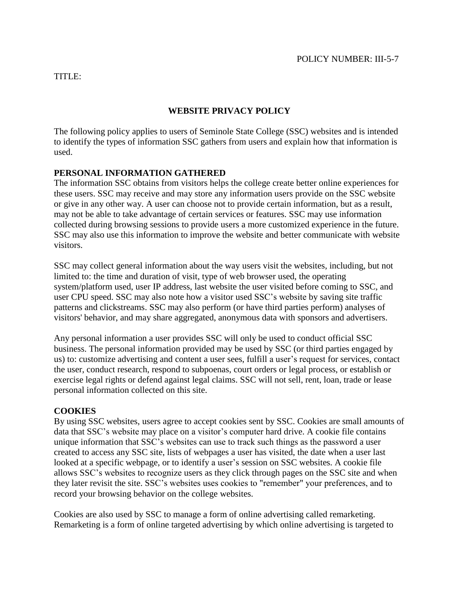#### TITLE:

### **WEBSITE PRIVACY POLICY**

The following policy applies to users of Seminole State College (SSC) websites and is intended to identify the types of information SSC gathers from users and explain how that information is used.

## **PERSONAL INFORMATION GATHERED**

The information SSC obtains from visitors helps the college create better online experiences for these users. SSC may receive and may store any information users provide on the SSC website or give in any other way. A user can choose not to provide certain information, but as a result, may not be able to take advantage of certain services or features. SSC may use information collected during browsing sessions to provide users a more customized experience in the future. SSC may also use this information to improve the website and better communicate with website visitors.

SSC may collect general information about the way users visit the websites, including, but not limited to: the time and duration of visit, type of web browser used, the operating system/platform used, user IP address, last website the user visited before coming to SSC, and user CPU speed. SSC may also note how a visitor used SSC's website by saving site traffic patterns and clickstreams. SSC may also perform (or have third parties perform) analyses of visitors' behavior, and may share aggregated, anonymous data with sponsors and advertisers.

Any personal information a user provides SSC will only be used to conduct official SSC business. The personal information provided may be used by SSC (or third parties engaged by us) to: customize advertising and content a user sees, fulfill a user's request for services, contact the user, conduct research, respond to subpoenas, court orders or legal process, or establish or exercise legal rights or defend against legal claims. SSC will not sell, rent, loan, trade or lease personal information collected on this site.

### **COOKIES**

By using SSC websites, users agree to accept cookies sent by SSC. Cookies are small amounts of data that SSC's website may place on a visitor's computer hard drive. A cookie file contains unique information that SSC's websites can use to track such things as the password a user created to access any SSC site, lists of webpages a user has visited, the date when a user last looked at a specific webpage, or to identify a user's session on SSC websites. A cookie file allows SSC's websites to recognize users as they click through pages on the SSC site and when they later revisit the site. SSC's websites uses cookies to "remember" your preferences, and to record your browsing behavior on the college websites.

Cookies are also used by SSC to manage a form of online advertising called remarketing. Remarketing is a form of online targeted advertising by which online advertising is targeted to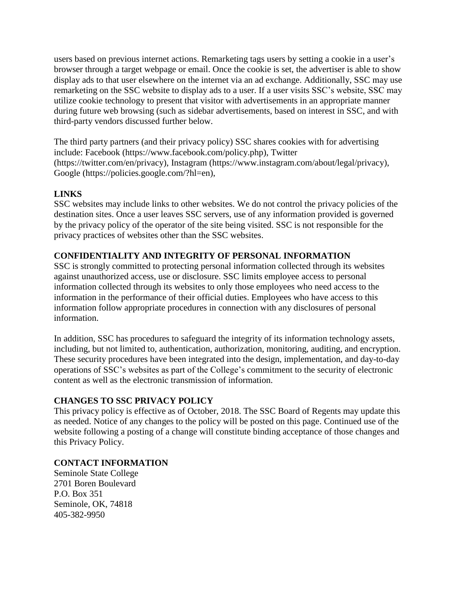users based on previous internet actions. Remarketing tags users by setting a cookie in a user's browser through a target webpage or email. Once the cookie is set, the advertiser is able to show display ads to that user elsewhere on the internet via an ad exchange. Additionally, SSC may use remarketing on the SSC website to display ads to a user. If a user visits SSC's website, SSC may utilize cookie technology to present that visitor with advertisements in an appropriate manner during future web browsing (such as sidebar advertisements, based on interest in SSC, and with third-party vendors discussed further below.

The third party partners (and their privacy policy) SSC shares cookies with for advertising include: Facebook (https://www.facebook.com/policy.php), Twitter (https://twitter.com/en/privacy), Instagram (https://www.instagram.com/about/legal/privacy), Google (https://policies.google.com/?hl=en),

### **LINKS**

SSC websites may include links to other websites. We do not control the privacy policies of the destination sites. Once a user leaves SSC servers, use of any information provided is governed by the privacy policy of the operator of the site being visited. SSC is not responsible for the privacy practices of websites other than the SSC websites.

# **CONFIDENTIALITY AND INTEGRITY OF PERSONAL INFORMATION**

SSC is strongly committed to protecting personal information collected through its websites against unauthorized access, use or disclosure. SSC limits employee access to personal information collected through its websites to only those employees who need access to the information in the performance of their official duties. Employees who have access to this information follow appropriate procedures in connection with any disclosures of personal information.

In addition, SSC has procedures to safeguard the integrity of its information technology assets, including, but not limited to, authentication, authorization, monitoring, auditing, and encryption. These security procedures have been integrated into the design, implementation, and day-to-day operations of SSC's websites as part of the College's commitment to the security of electronic content as well as the electronic transmission of information.

### **CHANGES TO SSC PRIVACY POLICY**

This privacy policy is effective as of October, 2018. The SSC Board of Regents may update this as needed. Notice of any changes to the policy will be posted on this page. Continued use of the website following a posting of a change will constitute binding acceptance of those changes and this Privacy Policy.

### **CONTACT INFORMATION**

Seminole State College 2701 Boren Boulevard P.O. Box 351 Seminole, OK, 74818 405-382-9950